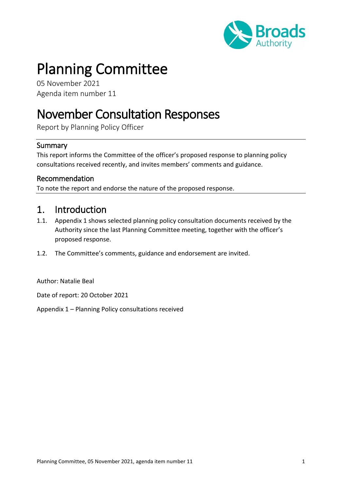

# Planning Committee

05 November 2021 Agenda item number 11

## November Consultation Responses

Report by Planning Policy Officer

#### Summary

This report informs the Committee of the officer's proposed response to planning policy consultations received recently, and invites members' comments and guidance.

#### Recommendation

To note the report and endorse the nature of the proposed response.

#### 1. Introduction

- 1.1. Appendix 1 shows selected planning policy consultation documents received by the Authority since the last Planning Committee meeting, together with the officer's proposed response.
- 1.2. The Committee's comments, guidance and endorsement are invited.

Author: Natalie Beal

Date of report: 20 October 2021

Appendix 1 – Planning Policy consultations received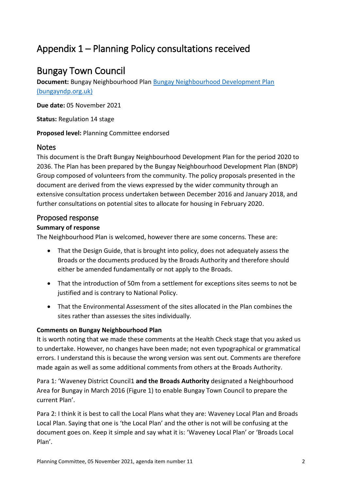## Appendix 1 – Planning Policy consultations received

### Bungay Town Council

**Document:** Bungay Neighbourhood Plan [Bungay Neighbourhood Development Plan](http://bungayndp.org.uk/index.shtml)  [\(bungayndp.org.uk\)](http://bungayndp.org.uk/index.shtml)

**Due date:** 05 November 2021

**Status:** Regulation 14 stage

**Proposed level:** Planning Committee endorsed

#### **Notes**

This document is the Draft Bungay Neighbourhood Development Plan for the period 2020 to 2036. The Plan has been prepared by the Bungay Neighbourhood Development Plan (BNDP) Group composed of volunteers from the community. The policy proposals presented in the document are derived from the views expressed by the wider community through an extensive consultation process undertaken between December 2016 and January 2018, and further consultations on potential sites to allocate for housing in February 2020.

#### Proposed response

#### **Summary of response**

The Neighbourhood Plan is welcomed, however there are some concerns. These are:

- That the Design Guide, that is brought into policy, does not adequately assess the Broads or the documents produced by the Broads Authority and therefore should either be amended fundamentally or not apply to the Broads.
- That the introduction of 50m from a settlement for exceptions sites seems to not be justified and is contrary to National Policy.
- That the Environmental Assessment of the sites allocated in the Plan combines the sites rather than assesses the sites individually.

#### **Comments on Bungay Neighbourhood Plan**

It is worth noting that we made these comments at the Health Check stage that you asked us to undertake. However, no changes have been made; not even typographical or grammatical errors. I understand this is because the wrong version was sent out. Comments are therefore made again as well as some additional comments from others at the Broads Authority.

Para 1: 'Waveney District Council1 and the Broads Authority designated a Neighbourhood Area for Bungay in March 2016 (Figure 1) to enable Bungay Town Council to prepare the current Plan'.

Para 2: I think it is best to call the Local Plans what they are: Waveney Local Plan and Broads Local Plan. Saying that one is 'the Local Plan' and the other is not will be confusing at the document goes on. Keep it simple and say what it is: 'Waveney Local Plan' or 'Broads Local Plan'.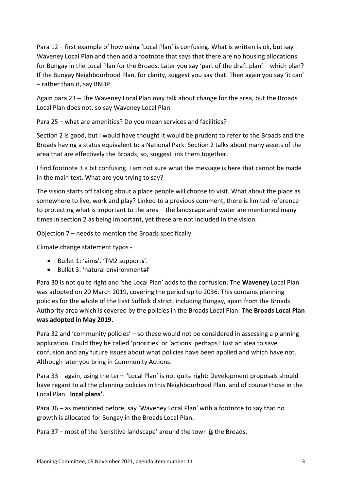Para 12 – first example of how using 'Local Plan' is confusing. What is written is ok, but say Waveney Local Plan and then add a footnote that says that there are no housing allocations for Bungay in the Local Plan for the Broads. Later you say 'part of the draft plan' – which plan? If the Bungay Neighbourhood Plan, for clarity, suggest you say that. Then again you say 'it can' – rather than it, say BNDP.

Again para 23 – The Waveney Local Plan may talk about change for the area, but the Broads Local Plan does not, so say Waveney Local Plan.

Para 25 – what are amenities? Do you mean services and facilities?

Section 2 is good, but I would have thought it would be prudent to refer to the Broads and the Broads having a status equivalent to a National Park. Section 2 talks about many assets of the area that are effectively the Broads; so, suggest link them together.

I find footnote 3 a bit confusing. I am not sure what the message is here that cannot be made in the main text. What are you trying to say?

The vision starts off talking about a place people will choose to visit. What about the place as somewhere to live, work and play? Linked to a previous comment, there is limited reference to protecting what is important to the area – the landscape and water are mentioned many times in section 2 as being important, yet these are not included in the vision.

Objection 7 – needs to mention the Broads specifically.

Climate change statement typos -

- Bullet 1: 'aim**s**'. 'TM2 support**s**'.
- Bullet 3: 'natural environmental'

Para 30 is not quite right and 'the Local Plan' adds to the confusion: The **Waveney** Local Plan was adopted on 20 March 2019, covering the period up to 2036. This contains planning policies for the whole of the East Suffolk district, including Bungay, apart from the Broads Authority area which is covered by the policies in the Broads Local Plan. **The Broads Local Plan was adopted in May 2019.** 

Para 32 and 'community policies' – so these would not be considered in assessing a planning application. Could they be called 'priorities' or 'actions' perhaps? Just an idea to save confusion and any future issues about what policies have been applied and which have not. Although later you bring in Community Actions.

Para 33 – again, using the term 'Local Plan' is not quite right: Development proposals should have regard to all the planning policies in this Neighbourhood Plan, and of course those in the Local Plan. **local plans'**.

Para 36 – as mentioned before, say 'Waveney Local Plan' with a footnote to say that no growth is allocated for Bungay in the Broads Local Plan.

Para 37 – most of the 'sensitive landscape' around the town *is* the Broads.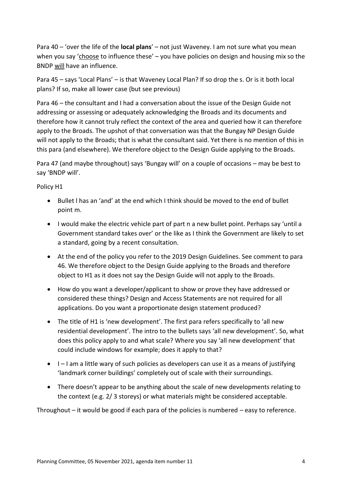Para 40 – 'over the life of the **local plans**' – not just Waveney. I am not sure what you mean when you say 'choose to influence these' – you have policies on design and housing mix so the BNDP will have an influence.

Para 45 – says 'Local Plans' – is that Waveney Local Plan? If so drop the s. Or is it both local plans? If so, make all lower case (but see previous)

Para 46 – the consultant and I had a conversation about the issue of the Design Guide not addressing or assessing or adequately acknowledging the Broads and its documents and therefore how it cannot truly reflect the context of the area and queried how it can therefore apply to the Broads. The upshot of that conversation was that the Bungay NP Design Guide will not apply to the Broads; that is what the consultant said. Yet there is no mention of this in this para (and elsewhere). We therefore object to the Design Guide applying to the Broads.

Para 47 (and maybe throughout) says 'Bungay will' on a couple of occasions – may be best to say 'BNDP will'.

#### Policy H1

- Bullet l has an 'and' at the end which I think should be moved to the end of bullet point m.
- I would make the electric vehicle part of part n a new bullet point. Perhaps say 'until a Government standard takes over' or the like as I think the Government are likely to set a standard, going by a recent consultation.
- At the end of the policy you refer to the 2019 Design Guidelines. See comment to para 46. We therefore object to the Design Guide applying to the Broads and therefore object to H1 as it does not say the Design Guide will not apply to the Broads.
- How do you want a developer/applicant to show or prove they have addressed or considered these things? Design and Access Statements are not required for all applications. Do you want a proportionate design statement produced?
- The title of H1 is 'new development'. The first para refers specifically to 'all new residential development'. The intro to the bullets says 'all new development'. So, what does this policy apply to and what scale? Where you say 'all new development' that could include windows for example; does it apply to that?
- I I am a little wary of such policies as developers can use it as a means of justifying 'landmark corner buildings' completely out of scale with their surroundings.
- There doesn't appear to be anything about the scale of new developments relating to the context (e.g. 2/ 3 storeys) or what materials might be considered acceptable.

Throughout – it would be good if each para of the policies is numbered – easy to reference.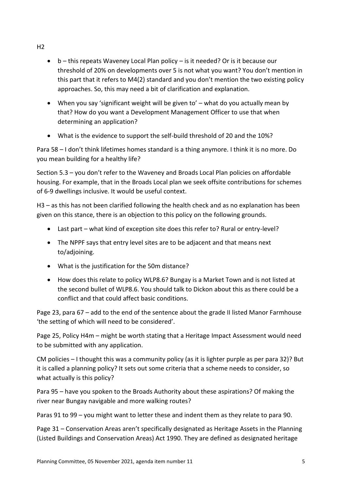- $\bullet$  b this repeats Waveney Local Plan policy is it needed? Or is it because our threshold of 20% on developments over 5 is not what you want? You don't mention in this part that it refers to M4(2) standard and you don't mention the two existing policy approaches. So, this may need a bit of clarification and explanation.
- When you say 'significant weight will be given to' what do you actually mean by that? How do you want a Development Management Officer to use that when determining an application?
- What is the evidence to support the self-build threshold of 20 and the 10%?

Para 58 – I don't think lifetimes homes standard is a thing anymore. I think it is no more. Do you mean building for a healthy life?

Section 5.3 – you don't refer to the Waveney and Broads Local Plan policies on affordable housing. For example, that in the Broads Local plan we seek offsite contributions for schemes of 6-9 dwellings inclusive. It would be useful context.

H3 – as this has not been clarified following the health check and as no explanation has been given on this stance, there is an objection to this policy on the following grounds.

- Last part what kind of exception site does this refer to? Rural or entry-level?
- The NPPF says that entry level sites are to be adjacent and that means next to/adjoining.
- What is the justification for the 50m distance?
- How does this relate to policy WLP8.6? Bungay is a Market Town and is not listed at the second bullet of WLP8.6. You should talk to Dickon about this as there could be a conflict and that could affect basic conditions.

Page 23, para 67 – add to the end of the sentence about the grade II listed Manor Farmhouse 'the setting of which will need to be considered'.

Page 25, Policy H4m – might be worth stating that a Heritage Impact Assessment would need to be submitted with any application.

CM policies – I thought this was a community policy (as it is lighter purple as per para 32)? But it is called a planning policy? It sets out some criteria that a scheme needs to consider, so what actually is this policy?

Para 95 – have you spoken to the Broads Authority about these aspirations? Of making the river near Bungay navigable and more walking routes?

Paras 91 to 99 – you might want to letter these and indent them as they relate to para 90.

Page 31 – Conservation Areas aren't specifically designated as Heritage Assets in the Planning (Listed Buildings and Conservation Areas) Act 1990. They are defined as designated heritage

 $H<sub>2</sub>$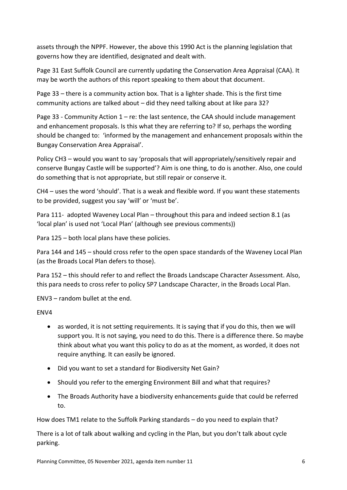assets through the NPPF. However, the above this 1990 Act is the planning legislation that governs how they are identified, designated and dealt with.

Page 31 East Suffolk Council are currently updating the Conservation Area Appraisal (CAA). It may be worth the authors of this report speaking to them about that document.

Page 33 – there is a community action box. That is a lighter shade. This is the first time community actions are talked about – did they need talking about at like para 32?

Page 33 - Community Action  $1 - re$ : the last sentence, the CAA should include management and enhancement proposals. Is this what they are referring to? If so, perhaps the wording should be changed to: 'informed by the management and enhancement proposals within the Bungay Conservation Area Appraisal'.

Policy CH3 – would you want to say 'proposals that will appropriately/sensitively repair and conserve Bungay Castle will be supported'? Aim is one thing, to do is another. Also, one could do something that is not appropriate, but still repair or conserve it.

CH4 – uses the word 'should'. That is a weak and flexible word. If you want these statements to be provided, suggest you say 'will' or 'must be'.

Para 111- adopted Waveney Local Plan – throughout this para and indeed section 8.1 (as 'local plan' is used not 'Local Plan' (although see previous comments))

Para 125 – both local plans have these policies.

Para 144 and 145 – should cross refer to the open space standards of the Waveney Local Plan (as the Broads Local Plan defers to those).

Para 152 – this should refer to and reflect the Broads Landscape Character Assessment. Also, this para needs to cross refer to policy SP7 Landscape Character, in the Broads Local Plan.

ENV3 – random bullet at the end.

ENV4

- as worded, it is not setting requirements. It is saying that if you do this, then we will support you. It is not saying, you need to do this. There is a difference there. So maybe think about what you want this policy to do as at the moment, as worded, it does not require anything. It can easily be ignored.
- Did you want to set a standard for Biodiversity Net Gain?
- Should you refer to the emerging Environment Bill and what that requires?
- The Broads Authority have a biodiversity enhancements guide that could be referred to.

How does TM1 relate to the Suffolk Parking standards – do you need to explain that?

There is a lot of talk about walking and cycling in the Plan, but you don't talk about cycle parking.